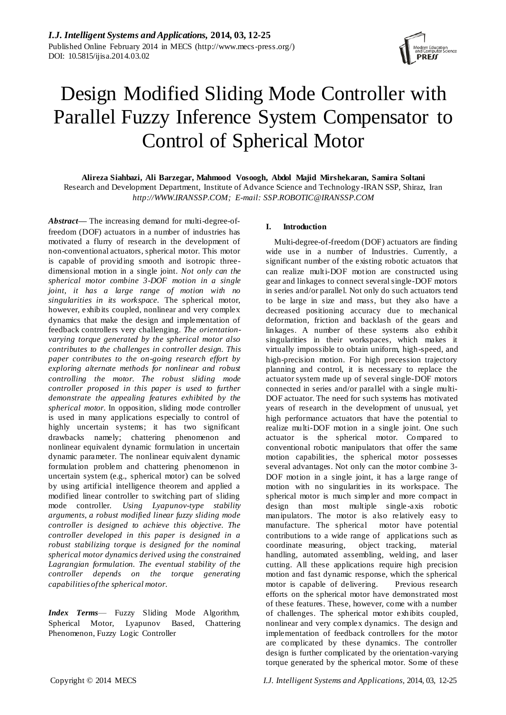

# Design Modified Sliding Mode Controller with Parallel Fuzzy Inference System Compensator to Control of Spherical Motor

**Alireza Siahbazi, Ali Barzegar, Mahmood Vosoogh, Abdol Majid Mirshekaran, Samira Soltani** Research and Development Department, Institute of Advance Science and Technology -IRAN SSP, Shiraz, Iran *http://WWW.IRANSSP.COM; E-mail: SSP.ROBOTIC@IRANSSP.COM*

*Abstract***—** The increasing demand for multi-degree-offreedom (DOF) actuators in a number of industries has motivated a flurry of research in the development of non-conventional actuators, spherical motor. This motor is capable of providing smooth and isotropic threedimensional motion in a single joint. *Not only can the spherical motor combine 3-DOF motion in a single joint, it has a large range of motion with no singularities in its workspace.* The spherical motor, however, exhibits coupled, nonlinear and very complex dynamics that make the design and implementation of feedback controllers very challenging. *The orientationvarying torque generated by the spherical motor also contributes to the challenges in controller design. This paper contributes to the on-going research effort by exploring alternate methods for nonlinear and robust controlling the motor. The robust sliding mode controller proposed in this paper is used to further demonstrate the appealing features exhibited by the spherical motor.* In opposition, sliding mode controller is used in many applications especially to control of highly uncertain systems; it has two significant drawbacks namely; chattering phenomenon and nonlinear equivalent dynamic formulation in uncertain dynamic parameter. The nonlinear equivalent dynamic formulation problem and chattering phenomenon in uncertain system (e.g., spherical motor) can be solved by using artificial intelligence theorem and applied a modified linear controller to switching part of sliding mode controller. *Using Lyapunov-type stability arguments, a robust modified linear fuzzy sliding mode controller is designed to achieve this objective. The controller developed in this paper is designed in a robust stabilizing torque is designed for the nominal spherical motor dynamics derived using the constrained Lagrangian formulation. The eventual stability of the controller depends on the torque generating capabilities of the spherical motor.*

*Index Terms*— Fuzzy Sliding Mode Algorithm, Spherical Motor, Lyapunov Based, Chattering Phenomenon, Fuzzy Logic Controller

# **I. Introduction**

Multi-degree-of-freedom (DOF) actuators are finding wide use in a number of Industries. Currently, a significant number of the existing robotic actuators that can realize multi-DOF motion are constructed using gear and linkages to connect several single-DOF motors in series and/or parallel. Not only do such actuators tend to be large in size and mass, but they also have a decreased positioning accuracy due to mechanical deformation, friction and backlash of the gears and linkages. A number of these systems also exhibit singularities in their workspaces, which makes it virtually impossible to obtain uniform, high-speed, and high-precision motion. For high precession trajectory planning and control, it is necessary to replace the actuator system made up of several single-DOF motors connected in series and/or parallel with a single multi-DOF actuator. The need for such systems has motivated years of research in the development of unusual, yet high performance actuators that have the potential to realize multi-DOF motion in a single joint. One such actuator is the spherical motor. Compared to conventional robotic manipulators that offer the same motion capabilities, the spherical motor possesses several advantages. Not only can the motor combine 3- DOF motion in a single joint, it has a large range of motion with no singularities in its workspace. The spherical motor is much simpler and more compact in design than most multiple single -axis robotic manipulators. The motor is also relatively easy to manufacture. The spherical motor have potential contributions to a wide range of applications such as coordinate measuring, object tracking, material handling, automated assembling, welding, and laser cutting. All these applications require high precision motion and fast dynamic response, which the spherical motor is capable of delivering. Previous research efforts on the spherical motor have demonstrated most of these features. These, however, come with a number of challenges. The spherical motor exhibits coupled, nonlinear and very complex dynamics. The design and implementation of feedback controllers for the motor are complicated by these dynamics. The controller design is further complicated by the orientation-varying torque generated by the spherical motor. Some of these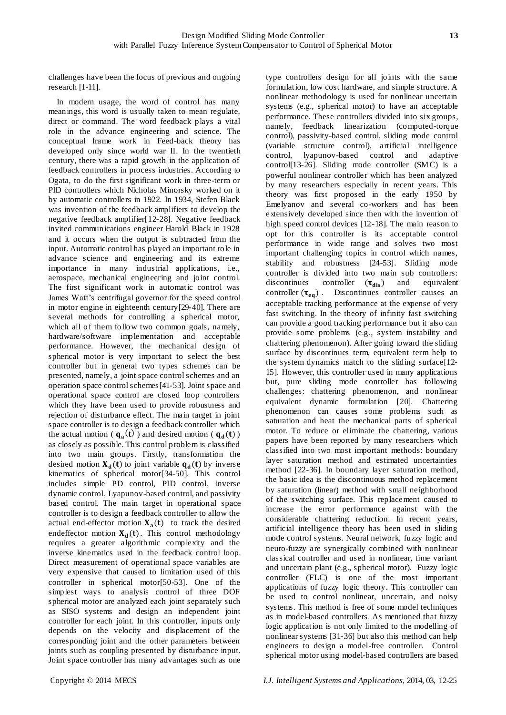challenges have been the focus of previous and ongoing research [1-11].

In modern usage, the word of control has many meanings, this word is usually taken to mean regulate, direct or command. The word feedback plays a vital role in the advance engineering and science. The conceptual frame work in Feed-back theory has developed only since world war ІІ. In the twentieth century, there was a rapid growth in the application of feedback controllers in process industries. According to Ogata, to do the first significant work in three-term or PID controllers which Nicholas Minorsky worked on it by automatic controllers in 1922. In 1934, Stefen Black was invention of the feedback amplifiers to develop the negative feedback amplifier[12-28]. Negative feedback invited communications engineer Harold Black in 1928 and it occurs when the output is subtracted from the input. Automatic control has played an important role in advance science and engineering and its extreme importance in many industrial applications, i.e., aerospace, mechanical engineering and joint control. The first significant work in automatic control was James Watt's centrifugal governor for the speed control in motor engine in eighteenth century[29-40]. There are several methods for controlling a spherical motor, which all of them follow two common goals, namely, hardware/software implementation and acceptable performance. However, the mechanical design of spherical motor is very important to select the best controller but in general two types schemes can be presented, namely, a joint space control schemes and an operation space control schemes[41-53]. Joint space and operational space control are closed loop controllers which they have been used to provide robustness and rejection of disturbance effect. The main target in joint space controller is to design a feedback controller which the actual motion ( $\mathbf{q}_a(t)$ ) and desired motion ( $\mathbf{q}_d(t)$ ) as closely as possible. This control problem is classified into two main groups. Firstly, transformation the desired motion  $X_d(t)$  to joint variable  $q_d(t)$  by inverse kinematics of spherical motor[34-50]. This control includes simple PD control, PID control, inverse dynamic control, Lyapunov-based control, and passivity based control. The main target in operational space controller is to design a feedback controller to allow the actual end-effector motion  $X_a(t)$  to track the desired endeffector motion  $X_d(t)$ . This control methodology requires a greater algorithmic complexity and the inverse kinematics used in the feedback control loop. Direct measurement of operational space variables are very expensive that caused to limitation used of this controller in spherical motor[50-53]. One of the simplest ways to analysis control of three DOF spherical motor are analyzed each joint separately such as SISO systems and design an independent joint controller for each joint. In this controller, inputs only depends on the velocity and displacement of the corresponding joint and the other parameters between joints such as coupling presented by disturbance input. Joint space controller has many advantages such as one

type controllers design for all joints with the same formulation, low cost hardware, and simple structure. A nonlinear methodology is used for nonlinear uncertain systems (e.g., spherical motor) to have an acceptable performance. These controllers divided into six groups, namely, feedback linearization (computed-torque control), passivity-based control, sliding mode control (variable structure control), artificial intelligence control, lyapunov-based control and adaptive control[13-26]. Sliding mode controller (SMC) is a powerful nonlinear controller which has been analyzed by many researchers especially in recent years. This theory was first proposed in the early 1950 by Emelyanov and several co-workers and has been extensively developed since then with the invention of high speed control devices [12-18]. The main reason to opt for this controller is its acceptable control performance in wide range and solves two most important challenging topics in control which names, stability and robustness [24-53]. Sliding mode controller is divided into two main sub controllers: discontinues controller  $(\tau_{dis})$  and equivalent controller  $(\tau_{ea})$ . Discontinues controller causes an acceptable tracking performance at the expense of very fast switching. In the theory of infinity fast switching can provide a good tracking performance but it also can provide some problems (e.g., system instability and chattering phenomenon). After going toward the sliding surface by discontinues term, equivalent term help to the system dynamics match to the sliding surface[12- 15]. However, this controller used in many applications but, pure sliding mode controller has following challenges: chattering phenomenon, and nonlinear equivalent dynamic formulation [20]. Chattering phenomenon can causes some problems such as saturation and heat the mechanical parts of spherical motor. To reduce or eliminate the chattering, various papers have been reported by many researchers which classified into two most important methods: boundary layer saturation method and estimated uncertainties method [22-36]. In boundary layer saturation method, the basic idea is the discontinuous method replacement by saturation (linear) method with small neighborhood of the switching surface. This replacement caused to increase the error performance against with the considerable chattering reduction. In recent years, artificial intelligence theory has been used in sliding mode control systems. Neural network, fuzzy logic and neuro-fuzzy are synergically combined with nonlinear classical controller and used in nonlinear, time variant and uncertain plant (e.g., spherical motor). Fuzzy logic controller (FLC) is one of the most important applications of fuzzy logic theory. This controller can be used to control nonlinear, uncertain, and noisy systems. This method is free of some model techniques as in model-based controllers. As mentioned that fuzzy logic application is not only limited to the modelling of nonlinear systems [31-36] but also this method can help engineers to design a model-free controller. Control spherical motor using model-based controllers are based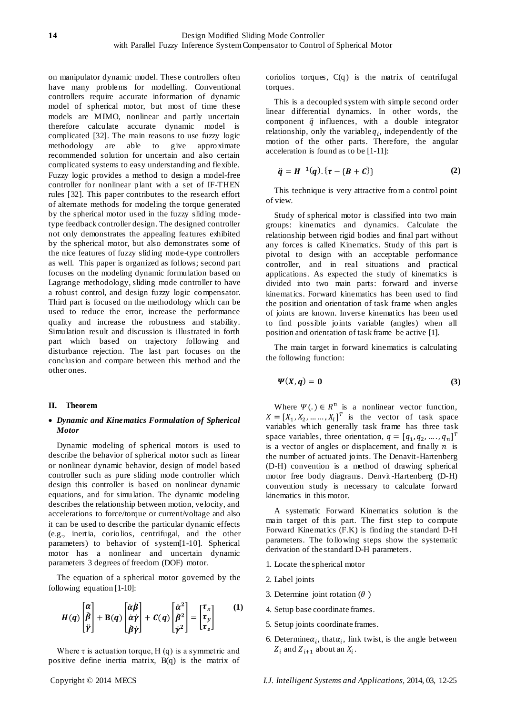on manipulator dynamic model. These controllers often have many problems for modelling. Conventional controllers require accurate information of dynamic model of spherical motor, but most of time these models are MIMO, nonlinear and partly uncertain therefore calculate accurate dynamic model is complicated [32]. The main reasons to use fuzzy logic methodology are able to give approximate recommended solution for uncertain and also certain complicated systems to easy understanding and flexible. Fuzzy logic provides a method to design a model-free controller for nonlinear plant with a set of IF-THEN rules [32]. This paper contributes to the research effort of alternate methods for modeling the torque generated by the spherical motor used in the fuzzy sliding modetype feedback controller design. The designed controller not only demonstrates the appealing features exhibited by the spherical motor, but also demonstrates some of the nice features of fuzzy sliding mode-type controllers as well. This paper is organized as follows; second part focuses on the modeling dynamic formulation based on Lagrange methodology, sliding mode controller to have a robust control, and design fuzzy logic compensator. Third part is focused on the methodology which can be used to reduce the error, increase the performance quality and increase the robustness and stability. Simulation result and discussion is illustrated in forth part which based on trajectory following and disturbance rejection. The last part focuses on the conclusion and compare between this method and the other ones.

## **II. Theorem**

## *Dynamic and Kinematics Formulation of Spherical Motor*

Dynamic modeling of spherical motors is used to describe the behavior of spherical motor such as linear or nonlinear dynamic behavior, design of model based controller such as pure sliding mode controller which design this controller is based on nonlinear dynamic equations, and for simulation. The dynamic modeling describes the relationship between motion, velocity, and accelerations to force/torque or current/voltage and also it can be used to describe the particular dynamic effects (e.g., inertia, coriolios, centrifugal, and the other parameters) to behavior of system[1-10]. Spherical motor has a nonlinear and uncertain dynamic parameters 3 degrees of freedom (DOF) motor.

The equation of a spherical motor governed by the following equation [1-10]:

$$
H(q)\begin{bmatrix} \alpha \\ \beta \\ \dot{\gamma} \end{bmatrix} + B(q)\begin{bmatrix} \dot{\alpha}\beta \\ \dot{\alpha}\dot{\gamma} \\ \beta\dot{\gamma} \end{bmatrix} + C(q)\begin{bmatrix} \dot{\alpha}^2 \\ \beta^2 \\ \dot{\gamma}^2 \end{bmatrix} = \begin{bmatrix} \tau_x \\ \tau_y \\ \tau_z \end{bmatrix}
$$
(1)

Where  $\tau$  is actuation torque, H (q) is a symmetric and positive define inertia matrix, B(q) is the matrix of coriolios torques, C(q) is the matrix of centrifugal torques.

This is a decoupled system with simple second order linear differential dynamics. In other words, the component  $\ddot{q}$  influences, with a double integrator relationship, only the variable  $q_i$ , independently of the motion of the other parts. Therefore, the angular acceleration is found as to be [1-11]:

$$
\ddot{q} = H^{-1}(q) \cdot \{ \tau - \{ B + C \} \}
$$
 (2)

This technique is very attractive from a control point of view.

Study of spherical motor is classified into two main groups: kinematics and dynamics. Calculate the relationship between rigid bodies and final part without any forces is called Kinematics. Study of this part is pivotal to design with an acceptable performance controller, and in real situations and practical applications. As expected the study of kinematics is divided into two main parts: forward and inverse kinematics. Forward kinematics has been used to find the position and orientation of task frame when angles of joints are known. Inverse kinematics has been used to find possible joints variable (angles) when all position and orientation of task frame be active [1].

The main target in forward kinematics is calculating the following function:

$$
\Psi(X,q) = 0 \tag{3}
$$

Where  $\Psi(.) \in R^n$  is a nonlinear vector function,  $X = [X_1, X_2, \dots, X_l]^T$  is the vector of task space variables which generally task frame has three task space variables, three orientation,  $q = [q_1, q_2, ..., q_n]^T$ is a vector of angles or displacement, and finally  $n$  is the number of actuated joints. The Denavit-Hartenberg (D-H) convention is a method of drawing spherical motor free body diagrams. Denvit-Hartenberg (D-H) convention study is necessary to calculate forward kinematics in this motor.

A systematic Forward Kinematics solution is the main target of this part. The first step to compute Forward Kinematics (F.K) is finding the standard D-H parameters. The following steps show the systematic derivation of the standard D-H parameters.

- 1. Locate the spherical motor
- 2. Label joints
- 3. Determine joint rotation  $(\theta)$
- 4. Setup base coordinate frames.
- 5. Setup joints coordinate frames.
- 6. Determine $\alpha_i$ , that  $\alpha_i$ , link twist, is the angle between  $Z_i$  and  $Z_{i+1}$  about an  $X_i$ .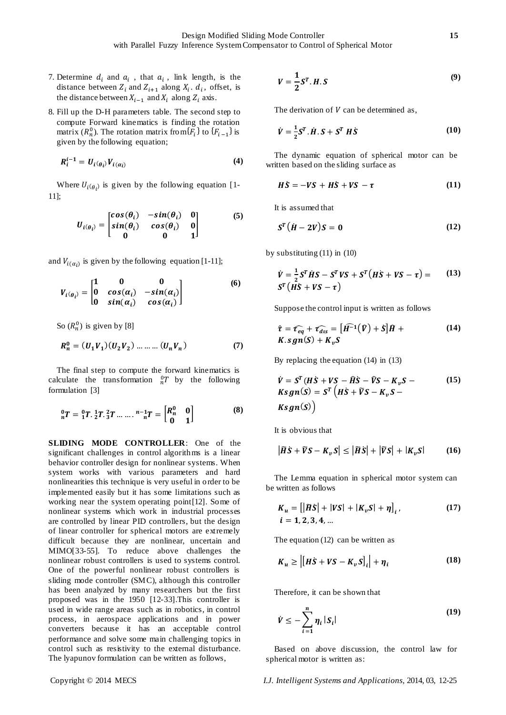- 7. Determine  $d_i$  and  $a_i$ , that  $a_i$ , link length, is the distance between  $Z_i$  and  $Z_{i+1}$  along  $X_i$ .  $d_i$ , offset, is the distance between  $X_{i-1}$  and  $X_i$  along  $Z_i$  axis.
- 8. Fill up the D-H parameters table. The second step to compute Forward kinematics is finding the rotation matrix  $(R_n^0)$ . The rotation matrix from  $\{F_i\}$  to  $\{F_{i-1}\}$  is given by the following equation;

$$
R_i^{i-1} = U_{i(\theta_i)} V_{i(\alpha_i)} \tag{4}
$$

Where  $U_i(\theta_i)$  is given by the following equation [1-11];

$$
U_{i(\theta_i)} = \begin{bmatrix} \cos(\theta_i) & -\sin(\theta_i) & 0 \\ \sin(\theta_i) & \cos(\theta_i) & 0 \\ 0 & 0 & 1 \end{bmatrix}
$$
 (5)

and  $V_{i(\alpha_i)}$  is given by the following equation [1-11];

$$
V_{i(\theta_i)} = \begin{bmatrix} 1 & 0 & 0 \\ 0 & \cos(\alpha_i) & -\sin(\alpha_i) \\ 0 & \sin(\alpha_i) & \cos(\alpha_i) \end{bmatrix}
$$
 (6)

So  $(R_n^0)$  is given by [8]

$$
R_n^0 = (U_1 V_1)(U_2 V_2) \dots \dots \dots (U_n V_n)
$$
 (7)

The final step to compute the forward kinematics is calculate the transformation  ${}_{n}^{0}T$  by the following formulation [3]

$$
{}_{n}^{0}T = {}_{1}^{0}T. \, {}_{2}^{1}T. \, {}_{3}^{2}T \dots \dots \, {}_{n}^{n-1}T = \begin{bmatrix} R_{n}^{0} & 0 \\ 0 & 1 \end{bmatrix} \tag{8}
$$

**SLIDING MODE CONTROLLER**: One of the significant challenges in control algorithms is a linear behavior controller design for nonlinear systems. When system works with various parameters and hard nonlinearities this technique is very useful in order to be implemented easily but it has some limitations such as working near the system operating point[12]. Some of nonlinear systems which work in industrial processes are controlled by linear PID controllers, but the design of linear controller for spherical motors are extremely difficult because they are nonlinear, uncertain and MIMO[33-55]. To reduce above challenges the nonlinear robust controllers is used to systems control. One of the powerful nonlinear robust controllers is sliding mode controller (SMC), although this controller has been analyzed by many researchers but the first proposed was in the 1950 [12-33].This controller is used in wide range areas such as in robotics, in control process, in aerospace applications and in power converters because it has an acceptable control performance and solve some main challenging topics in control such as resistivity to the external disturbance. The lyapunov formulation can be written as follows,

$$
V = \frac{1}{2}S^T . H . S \tag{9}
$$

The derivation of  $V$  can be determined as,

$$
\dot{V} = \frac{1}{2}S^T \cdot \dot{H} \cdot S + S^T \cdot H\dot{S}
$$
 (10)

The dynamic equation of spherical motor can be written based on the sliding surface as

$$
H\dot{S} = -VS + H\dot{S} + VS - \tau \tag{11}
$$

It is assumed that

$$
S^T(\dot{H} - 2V)S = 0 \tag{12}
$$

by substituting (11) in (10)

$$
\dot{V} = \frac{1}{2}S^{T}HS - S^{T}VS + S^{T}(HS + VS - \tau) = (13)
$$
  

$$
S^{T}(HS + VS - \tau)
$$

Suppose the control input is written as follows

$$
\hat{\tau} = \hat{\tau_{eq}} + \hat{\tau_{dis}} = [\hat{H^{-1}}(\hat{V}) + \hat{S}]\hat{H} + K \cdot sgn(S) + K_v S
$$
\n(14)

By replacing the equation (14) in (13)

$$
\dot{V} = S^{T} (H\dot{S} + VS - \hat{H}\dot{S} - \hat{V}S - K_{v}S - K_{\bar{v}}S - K_{\bar{v}}S - \hat{K}sgn(\bar{S}) = S^{T} (H\dot{S} + \tilde{V}S - K_{v}S - K_{\bar{v}}S - \hat{K}sgn(\bar{S}))
$$
\n(15)

It is obvious that

$$
|\widetilde{H}S + \widetilde{V}S - K_vS| \le |\widetilde{H}S| + |\widetilde{V}S| + |K_vS| \qquad (16)
$$

The Lemma equation in spherical motor system can be written as follows

$$
K_u = [|\tilde{H}S| + |VS| + |K_vS| + \eta]_i, \qquad (17)
$$
  
 $i = 1, 2, 3, 4, ...$ 

The equation (12) can be written as

$$
K_u \ge \left| \left[ H\dot{S} + VS - K_v S \right]_i \right| + \eta_i \tag{18}
$$

Therefore, it can be shown that

$$
\dot{V} \leq -\sum_{i=1}^{n} \eta_i |S_i| \tag{19}
$$

Based on above discussion, the control law for spherical motor is written as: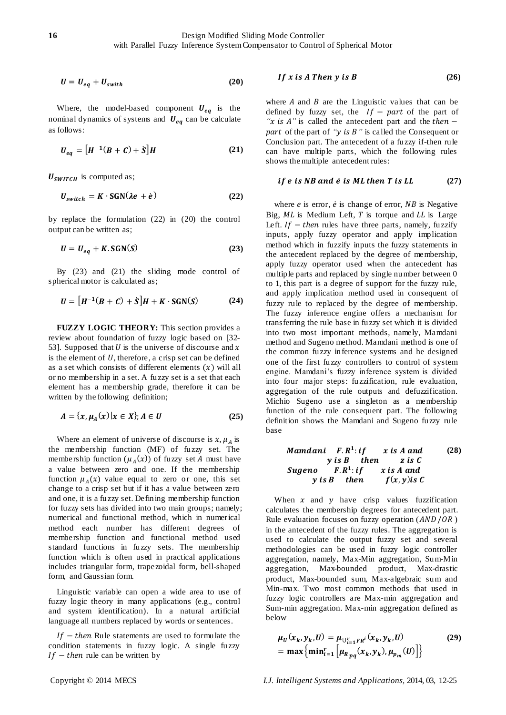$$
U = U_{eq} + U_{switch} \tag{20}
$$

Where, the model-based component  $U_{eq}$  is the nominal dynamics of systems and  $U_{eq}$  can be calculate as follows:

$$
U_{eq} = [H^{-1}(B + C) + S]H
$$
 (21)

 $U_{SWITCH}$  is computed as;

$$
U_{switch} = K \cdot \text{SGN}(\lambda e + \dot{e}) \tag{22}
$$

by replace the formulation (22) in (20) the control output can be written as;

$$
U = U_{eq} + K \cdot \text{SGN}(S) \tag{23}
$$

By (23) and (21) the sliding mode control of spherical motor is calculated as;

$$
U = [H^{-1}(B+C) + \dot{S}]H + K \cdot \text{SGN}(S) \tag{24}
$$

**FUZZY LOGIC THEORY:** This section provides a review about foundation of fuzzy logic based on [32- 53]. Supposed that U is the universe of discourse and  $x$ is the element of  $U$ , therefore, a crisp set can be defined as a set which consists of different elements  $(x)$  will all or no membership in a set. A fuzzy set is a set that each element has a membership grade, therefore it can be written by the following definition;

$$
A = \{x, \mu_A(x) | x \in X\}; A \in U \tag{25}
$$

Where an element of universe of discourse is  $x, \mu_A$  is the membership function (MF) of fuzzy set. The membership function  $(\mu_A(x))$  of fuzzy set A must have a value between zero and one. If the membership function  $\mu_A(x)$  value equal to zero or one, this set change to a crisp set but if it has a value between zero and one, it is a fuzzy set. Defining membership function for fuzzy sets has divided into two main groups; namely; numerical and functional method, which in numerical method each number has different degrees of membership function and functional method used standard functions in fuzzy sets. The membership function which is often used in practical applications includes triangular form, trapezoidal form, bell-shaped form, and Gaussian form.

Linguistic variable can open a wide area to use of fuzzy logic theory in many applications (e.g., control and system identification). In a natural artificial language all numbers replaced by words or sentences.

If  $-$  then Rule statements are used to formulate the condition statements in fuzzy logic. A single fuzzy If  $-$  then rule can be written by

$$
If x is A Then y is B \tag{26}
$$

where  $A$  and  $B$  are the Linguistic values that can be defined by fuzzy set, the  $If - part$  of the part of " $x$  is  $A$ " is called the antecedent part and the then  $$ part of the part of " $y$  is  $B$ " is called the Consequent or Conclusion part. The antecedent of a fuzzy if-then rule can have multiple parts, which the following rules shows the multiple antecedent rules:

#### *if e is NB and*  $\dot{e}$  *is ML then T is LL* (27)

where  $e$  is error,  $\dot{e}$  is change of error,  $NB$  is Negative Big,  $ML$  is Medium Left,  $T$  is torque and  $LL$  is Large Left. If  $-$  then rules have three parts, namely, fuzzify inputs, apply fuzzy operator and apply implication method which in fuzzify inputs the fuzzy statements in the antecedent replaced by the degree of membership, apply fuzzy operator used when the antecedent has multiple parts and replaced by single number between 0 to 1, this part is a degree of support for the fuzzy rule, and apply implication method used in consequent of fuzzy rule to replaced by the degree of membership. The fuzzy inference engine offers a mechanism for transferring the rule base in fuzzy set which it is divided into two most important methods, namely, Mamdani method and Sugeno method. Mamdani method is one of the common fuzzy inference systems and he designed one of the first fuzzy controllers to control of system engine. Mamdani's fuzzy inference system is divided into four major steps: fuzzification, rule evaluation, aggregation of the rule outputs and defuzzification. Michio Sugeno use a singleton as a membership function of the rule consequent part. The following definition shows the Mamdani and Sugeno fuzzy rule base

| Mamdani         | $F.R^1$ : if     | $x$ is $A$ and | $(28)$ |
|-----------------|------------------|----------------|--------|
| $y$ is $B$ then | $z$ is $C$       |                |        |
| $Sugeno$        | $F.R^1$ : if     | $x$ is $A$ and |        |
| $y$ is $B$ then | $f(x, y)$ is $C$ |                |        |

When  $x$  and  $y$  have crisp values fuzzification calculates the membership degrees for antecedent part. Rule evaluation focuses on fuzzy operation  $(AND/OR)$ in the antecedent of the fuzzy rules. The aggregation is used to calculate the output fuzzy set and several methodologies can be used in fuzzy logic controller aggregation, namely, Max-Min aggregation, Sum-Min aggregation, Max-bounded product, Max-drastic product, Max-bounded sum, Max-algebraic sum and Min-max. Two most common methods that used in fuzzy logic controllers are Max-min aggregation and Sum-min aggregation. Max-min aggregation defined as below

$$
\mu_U(x_k, y_k, U) = \mu_{\cup_{i=1}^T FR^i}(x_k, y_k, U)
$$
  
= max {min<sub>i=1</sub>  $\left[ \mu_{Rpq}(x_k, y_k), \mu_{p_m}(U) \right] }$  (29)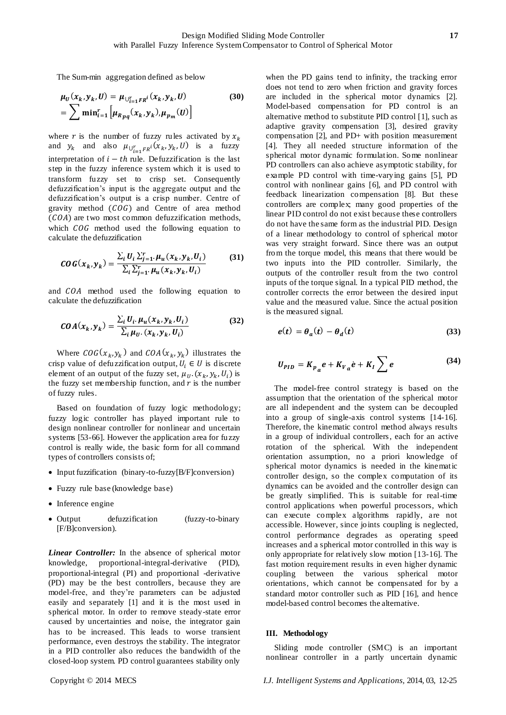The Sum-min aggregation defined as below

$$
\mu_U(x_k, y_k, U) = \mu_{\bigcup_{i=1}^r FR^i}(x_k, y_k, U)
$$
  
=  $\sum \min_{i=1}^r [\mu_{R_{pq}}(x_k, y_k), \mu_{p_m}(U)]$  (30)

where r is the number of fuzzy rules activated by  $x_k$ and  $y_k$  and also  $\mu_{\bigcup_{i=1}^r F R^i}(x_k, y_k, U)$  is a fuzzy interpretation of  $i - th$  rule. Defuzzification is the last step in the fuzzy inference system which it is used to transform fuzzy set to crisp set. Consequently defuzzification's input is the aggregate output and the defuzzification's output is a crisp number. Centre of gravity method  $(COG)$  and Centre of area method  $(COA)$  are two most common defuzzification methods, which COG method used the following equation to calculate the defuzzification

$$
COG(x_k, y_k) = \frac{\sum_i U_i \sum_{j=1}^r \mu_u(x_k, y_k, U_i)}{\sum_i \sum_{j=1}^r \mu_u(x_k, y_k, U_i)}
$$
(31)

and COA method used the following equation to calculate the defuzzification

$$
COA(x_k, y_k) = \frac{\sum_i U_i \cdot \mu_u(x_k, y_k, U_i)}{\sum_i \mu_v \cdot (x_k, y_k, U_i)}
$$
(32)

Where  $COG(x_k, y_k)$  and  $COA(x_k, y_k)$  illustrates the crisp value of defuzzification output,  $U_i \in U$  is discrete element of an output of the fuzzy set,  $\mu_U$ .  $(x_k, y_k, U_i)$  is the fuzzy set membership function, and  $r$  is the number of fuzzy rules.

Based on foundation of fuzzy logic methodology; fuzzy logic controller has played important rule to design nonlinear controller for nonlinear and uncertain systems [53-66]. However the application area for fuzzy control is really wide, the basic form for all command types of controllers consists of;

- Input fuzzification (binary-to-fuzzy[B/F]conversion)
- Fuzzy rule base (knowledge base)
- Inference engine
- Output defuzzification (fuzzy-to-binary [F/B]conversion).

*Linear Controller:* In the absence of spherical motor knowledge, proportional-integral-derivative (PID), proportional-integral (PI) and proportional -derivative (PD) may be the best controllers, because they are model-free, and they're parameters can be adjusted easily and separately [1] and it is the most used in spherical motor. In order to remove steady-state error caused by uncertainties and noise, the integrator gain has to be increased. This leads to worse transient performance, even destroys the stability. The integrator in a PID controller also reduces the bandwidth of the closed-loop system. PD control guarantees stability only

when the PD gains tend to infinity, the tracking error does not tend to zero when friction and gravity forces are included in the spherical motor dynamics [2]. Model-based compensation for PD control is an alternative method to substitute PID control [1], such as adaptive gravity compensation [3], desired gravity compensation [2], and PD+ with position measurement [4]. They all needed structure information of the spherical motor dynamic formulation. Some nonlinear PD controllers can also achieve asymptotic stability, for example PD control with time-varying gains [5], PD control with nonlinear gains [6], and PD control with feedback linearization compensation [8]. But these controllers are complex; many good properties of the linear PID control do not exist because these controllers do not have the same form as the industrial PID. Design of a linear methodology to control of spherical motor was very straight forward. Since there was an output from the torque model, this means that there would be two inputs into the PID controller. Similarly, the outputs of the controller result from the two control inputs of the torque signal. In a typical PID method, the controller corrects the error between the desired input value and the measured value. Since the actual position is the measured signal.

$$
e(t) = \theta_a(t) - \theta_d(t) \tag{33}
$$

$$
U_{PID} = K_{p_a} e + K_{V_a} e + K_I \sum e \tag{34}
$$

The model-free control strategy is based on the assumption that the orientation of the spherical motor are all independent and the system can be decoupled into a group of single-axis control systems [14-16]. Therefore, the kinematic control method always results in a group of individual controllers, each for an active rotation of the spherical. With the independent orientation assumption, no a priori knowledge of spherical motor dynamics is needed in the kinematic controller design, so the complex computation of its dynamics can be avoided and the controller design can be greatly simplified. This is suitable for real-time control applications when powerful processors, which can execute complex algorithms rapidly, are not accessible. However, since joints coupling is neglected, control performance degrades as operating speed increases and a spherical motor controlled in this way is only appropriate for relatively slow motion [13-16]. The fast motion requirement results in even higher dynamic coupling between the various spherical motor orientations, which cannot be compensated for by a standard motor controller such as PID [16], and hence model-based control becomes the alternative.

#### **III. Methodology**

Sliding mode controller (SMC) is an important nonlinear controller in a partly uncertain dynamic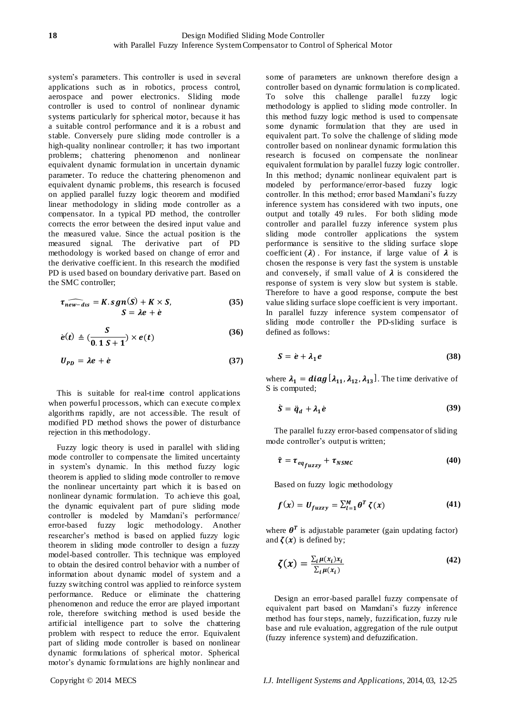system's parameters. This controller is used in several applications such as in robotics, process control, aerospace and power electronics. Sliding mode controller is used to control of nonlinear dynamic systems particularly for spherical motor, because it has a suitable control performance and it is a robust and stable. Conversely pure sliding mode controller is a high-quality nonlinear controller; it has two important problems; chattering phenomenon and nonlinear equivalent dynamic formulation in uncertain dynamic parameter. To reduce the chattering phenomenon and equivalent dynamic problems, this research is focused on applied parallel fuzzy logic theorem and modified linear methodology in sliding mode controller as a compensator. In a typical PD method, the controller corrects the error between the desired input value and the measured value. Since the actual position is the measured signal. The derivative part of PD methodology is worked based on change of error and the derivative coefficient. In this research the modified PD is used based on boundary derivative part. Based on the SMC controller;

$$
\widehat{\tau_{new-dis}} = K \cdot sgn(S) + K \times S, \qquad (35)
$$
\n
$$
S = \lambda e + e
$$

$$
\dot{e}(t) \triangleq \left(\frac{S}{0.1 S + 1}\right) \times e(t) \tag{36}
$$

$$
U_{PD} = \lambda e + \dot{e} \tag{37}
$$

This is suitable for real-time control applications when powerful processors, which can execute complex algorithms rapidly, are not accessible. The result of modified PD method shows the power of disturbance rejection in this methodology.

Fuzzy logic theory is used in parallel with sliding mode controller to compensate the limited uncertainty in system's dynamic. In this method fuzzy logic theorem is applied to sliding mode controller to remove the nonlinear uncertainty part which it is bas ed on nonlinear dynamic formulation. To achieve this goal, the dynamic equivalent part of pure sliding mode controller is modeled by Mamdani's performance/ error-based fuzzy logic methodology. Another researcher's method is based on applied fuzzy logic theorem in sliding mode controller to design a fuzzy model-based controller. This technique was employed to obtain the desired control behavior with a number of information about dynamic model of system and a fuzzy switching control was applied to reinforce system performance. Reduce or eliminate the chattering phenomenon and reduce the error are played important role, therefore switching method is used beside the artificial intelligence part to solve the chattering problem with respect to reduce the error. Equivalent part of sliding mode controller is based on nonlinear dynamic formulations of spherical motor. Spherical motor's dynamic formulations are highly nonlinear and

some of parameters are unknown therefore design a controller based on dynamic formulation is complicated. To solve this challenge parallel fuzzy logic methodology is applied to sliding mode controller. In this method fuzzy logic method is used to compensate some dynamic formulation that they are used in equivalent part. To solve the challenge of sliding mode controller based on nonlinear dynamic formulation this research is focused on compensate the nonlinear equivalent formulation by parallel fuzzy logic controller. In this method; dynamic nonlinear equivalent part is modeled by performance/error-based fuzzy logic controller. In this method; error based Mamdani's fuzzy inference system has considered with two inputs, one output and totally 49 rules. For both sliding mode controller and parallel fuzzy inference system plus sliding mode controller applications the system performance is sensitive to the sliding surface slope coefficient  $(\lambda)$ . For instance, if large value of  $\lambda$  is chosen the response is very fast the system is unstable and conversely, if small value of  $\lambda$  is considered the response of system is very slow but system is stable. Therefore to have a good response, compute the best value sliding surface slope coefficient is very important. In parallel fuzzy inference system compensator of sliding mode controller the PD-sliding surface is defined as follows:

$$
S = \dot{e} + \lambda_1 e \tag{38}
$$

where  $\lambda_1 = diag[\lambda_{11}, \lambda_{12}, \lambda_{13}]$ . The time derivative of S is computed;

$$
\dot{S} = \ddot{q}_d + \lambda_1 \dot{e} \tag{39}
$$

The parallel fuzzy error-based compensator of sliding mode controller's output is written;

$$
\hat{\tau} = \tau_{eq_{fuzzy}} + \tau_{NSMC} \tag{40}
$$

Based on fuzzy logic methodology

$$
f(x) = U_{fuzzy} = \sum_{l=1}^{M} \theta^{T} \zeta(x)
$$
 (41)

where  $\theta^T$  is adjustable parameter (gain updating factor) and  $\zeta(x)$  is defined by;

$$
\zeta(x) = \frac{\sum_{i} \mu(x_i) x_i}{\sum_{i} \mu(x_i)} \tag{42}
$$

Design an error-based parallel fuzzy compensate of equivalent part based on Mamdani's fuzzy inference method has four steps, namely, fuzzification, fuzzy rule base and rule evaluation, aggregation of the rule output (fuzzy inference system) and defuzzification.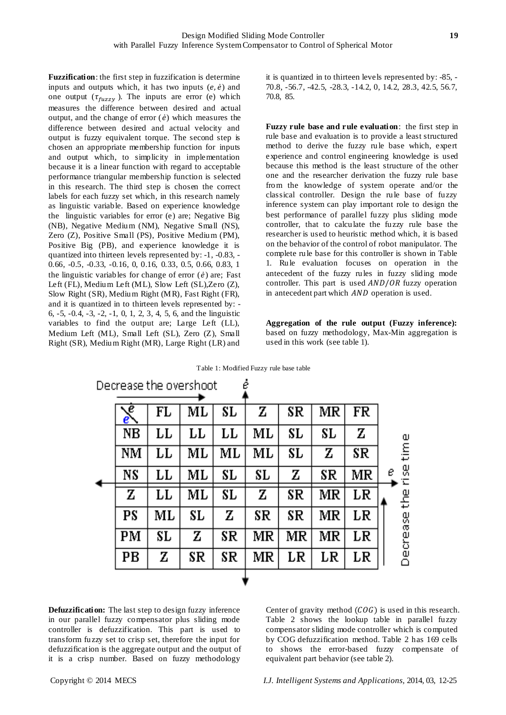**Fuzzification**: the first step in fuzzification is determine inputs and outputs which, it has two inputs  $(e, \dot{e})$  and one output  $(\tau_{fuzzy})$ . The inputs are error (e) which measures the difference between desired and actual output, and the change of error  $(\dot{e})$  which measures the difference between desired and actual velocity and output is fuzzy equivalent torque. The second step is chosen an appropriate membership function for inputs and output which, to simplicity in implementation because it is a linear function with regard to acceptable performance triangular membership function is selected in this research. The third step is chosen the correct labels for each fuzzy set which, in this research namely as linguistic variable. Based on experience knowledge the linguistic variables for error (e) are; Negative Big (NB), Negative Medium (NM), Negative Small (NS), Zero (Z), Positive Small (PS), Positive Medium (PM), Positive Big (PB), and experience knowledge it is quantized into thirteen levels represented by: -1, -0.83, - 0.66, -0.5, -0.33, -0.16, 0, 0.16, 0.33, 0.5, 0.66, 0.83, 1 the linguistic variables for change of error  $(\dot{e})$  are; Fast Left (FL), Medium Left (ML), Slow Left (SL),Zero (Z), Slow Right (SR), Medium Right (MR), Fast Right (FR), and it is quantized in to thirteen levels represented by: - 6, -5, -0.4, -3, -2, -1, 0, 1, 2, 3, 4, 5, 6, and the linguistic variables to find the output are; Large Left (LL), Medium Left (ML), Small Left (SL), Zero (Z), Small Right (SR), Medium Right (MR), Large Right (LR) and

it is quantized in to thirteen levels represented by: -85, - 70.8, -56.7, -42.5, -28.3, -14.2, 0, 14.2, 28.3, 42.5, 56.7, 70.8, 85.

**Fuzzy rule base and rule evaluation**: the first step in rule base and evaluation is to provide a least structured method to derive the fuzzy rule base which, expert experience and control engineering knowledge is used because this method is the least structure of the other one and the researcher derivation the fuzzy rule base from the knowledge of system operate and/or the classical controller. Design the rule base of fuzzy inference system can play important role to design the best performance of parallel fuzzy plus sliding mode controller, that to calculate the fuzzy rule base the researcher is used to heuristic method which, it is based on the behavior of the control of robot manipulator. The complete rule base for this controller is shown in Table 1. Rule evaluation focuses on operation in the antecedent of the fuzzy rules in fuzzy sliding mode controller. This part is used  $AND/OR$  fuzzy operation in antecedent part which *AND* operation is used.

**Aggregation of the rule output (Fuzzy inference):** based on fuzzy methodology, Max-Min aggregation is used in this work (see table 1).

| Decrease the overshoot<br>É |           |              |              |                        |                |              |              |           |                               |  |
|-----------------------------|-----------|--------------|--------------|------------------------|----------------|--------------|--------------|-----------|-------------------------------|--|
|                             | ्ट<br>e   | ${\bf FL}$   | ML           | SL.                    | $\mathbf{Z}$   | $S_{R}$      | MR           | FR        |                               |  |
|                             | NB        | LL           | LL           | $\mathbf{L}\mathbf{L}$ | ML             | SL           | SL           | Z         | $\mathbf u$                   |  |
|                             | <b>NM</b> | LL           | ML           | ML                     | ML             | SL           | $\mathbf{Z}$ | SR        | ξ                             |  |
|                             | NS        | LL           | ML           | SL.                    | <b>SL</b>      | $\mathbf{Z}$ | <b>SR</b>    | MR        | น<br>ท<br>Ē<br>$\blacksquare$ |  |
|                             | Z         | LL           | ML           | SL                     | $\overline{z}$ | $S_{\rm R}$  | MR           | LR        | the<br>E                      |  |
|                             | <b>PS</b> | ML           | SL           | Z                      | $S_{R}$        | $S_{R}$      | MR           | <b>LR</b> | น<br>เท                       |  |
|                             | PM        | SL.          | $\mathbf{Z}$ | SR                     | MR             | MR           | MR           | <b>LR</b> | eorea                         |  |
|                             | <b>PB</b> | $\mathbf{Z}$ | $S_{R}$      | $S_{\rm R}$            | MR             | LR           | $_{\rm LR}$  | LR        | $\Box$                        |  |
|                             |           |              |              |                        |                |              |              |           |                               |  |

## Table 1: Modified Fuzzy rule base table  $\Delta$

**Defuzzification:** The last step to design fuzzy inference in our parallel fuzzy compensator plus sliding mode controller is defuzzification. This part is used to transform fuzzy set to crisp set, therefore the input for defuzzification is the aggregate output and the output of it is a crisp number. Based on fuzzy methodology

Center of gravity method  $(COG)$  is used in this research. Table 2 shows the lookup table in parallel fuzzy compensator sliding mode controller which is computed by COG defuzzification method. Table 2 has 169 cells to shows the error-based fuzzy compensate of equivalent part behavior (see table 2).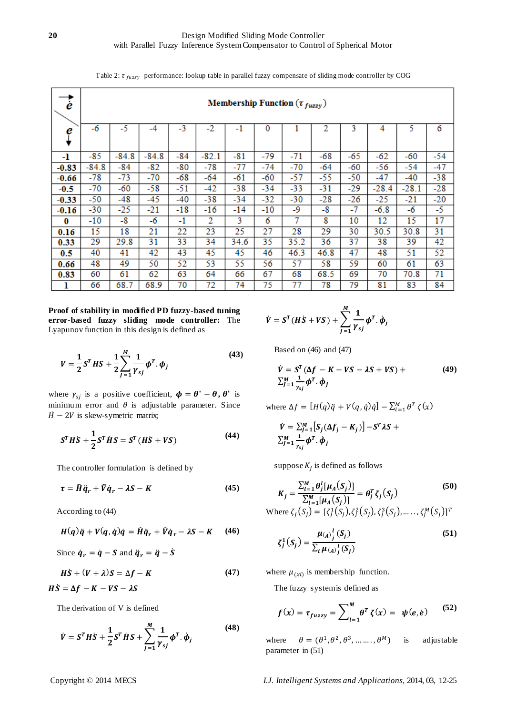| è        | Membership Function ( $\tau_{fuzzy}$ )<br>-5<br>3<br>5<br>6<br>-6<br>-3<br>-2<br>0<br>2<br>$-4$<br>4<br>$-1$ |         |         |       |                 |       |       |       |       |       |         |         |       |
|----------|--------------------------------------------------------------------------------------------------------------|---------|---------|-------|-----------------|-------|-------|-------|-------|-------|---------|---------|-------|
| e        |                                                                                                              |         |         |       |                 |       |       |       |       |       |         |         |       |
| -1       | -85                                                                                                          | $-84.8$ | $-84.8$ | $-84$ | $-82.1$         | $-81$ | $-79$ | $-71$ | -68   | -65   | $-62$   | -60     | $-54$ |
| $-0.83$  | $-84.8$                                                                                                      | -84     | -82     | $-80$ | $-78$           | $-77$ | $-74$ | $-70$ | -64   | -60   | $-56$   | $-54$   | $-47$ |
| $-0.66$  | $-78$                                                                                                        | $-73$   | -70     | -68   | -64             | -61   | -60   | -57   | -55   | -50   | -47     | $-40$   | $-38$ |
| $-0.5$   | -70                                                                                                          | -60     | $-58$   | $-51$ | $-42$           | $-38$ | -34   | $-33$ | $-31$ | $-29$ | $-28.4$ | $-28.1$ | $-28$ |
| $-0.33$  | $-50$                                                                                                        | $-48$   | $-45$   | $-40$ | $-38$           | $-34$ | $-32$ | $-30$ | $-28$ | $-26$ | $-25$   | $-21$   | $-20$ |
| $-0.16$  | -30                                                                                                          | -25     | -21     | $-18$ | -16             | -14   | -10   | -9    | -8    | $-7$  | $-6.8$  | -6      | $-5$  |
| $\bf{0}$ | $-10$                                                                                                        | -8      | -6      | -1    | 2               | 3     | 6     | 7     | 8     | 10    | 12      | 15      | 17    |
| 0.16     | 15                                                                                                           | 18      | 21      | 22    | 23              | 25    | 27    | 28    | 29    | 30    | 30.5    | 30.8    | 31    |
| 0.33     | 29                                                                                                           | 29.8    | 31      | 33    | 34              | 34.6  | 35    | 35.2  | 36    | 37    | 38      | 39      | 42    |
| 0.5      | 40                                                                                                           | 41      | 42      | 43    | 45              | 45    | 46    | 46.3  | 46.8  | 47    | 48      | 51      | 52    |
| 0.66     | 48                                                                                                           | 49      | 50      | 52    | 53              | 55    | 56    | 57    | 58    | 59    | 60      | 61      | 63    |
| 0.83     | 60                                                                                                           | 61      | 62      | 63    | 64              | 66    | 67    | 68    | 68.5  | 69    | 70      | 70.8    | 71    |
| ı        | 66                                                                                                           | 68.7    | 68.9    | 70    | $\overline{72}$ | 74    | 75    | 77    | 78    | 79    | 81      | 83      | 84    |

Table 2:  $\tau_{fuzzy}$  performance: lookup table in parallel fuzzy compensate of sliding mode controller by COG

**Proof of stability in modified PD fuzzy-based tuning error-based fuzzy sliding mode controller:** The Lyapunov function in this design is defined as

$$
V = \frac{1}{2}S^{T}HS + \frac{1}{2}\sum_{j=1}^{M}\frac{1}{\gamma_{sj}}\phi^{T}.\,\phi_{j}
$$
\n(43)

where  $\gamma_{si}$  is a positive coefficient,  $\boldsymbol{\phi} = \boldsymbol{\theta}^* - \boldsymbol{\theta}, \boldsymbol{\theta}^*$  is minimum error and  $\theta$  is adjustable parameter. Since  $\dot{H}$  – 2V is skew-symetric matrix;

$$
ST H S + \frac{1}{2} ST H S = ST (H S + VS)
$$
 (44)

The controller formulation is defined by

$$
\tau = \hat{H}\ddot{q}_r + \hat{V}\dot{q}_r - \lambda S - K \qquad (45)
$$

According to (44)

$$
H(q)\ddot{q} + V(q, \dot{q})\dot{q} = \hat{H}\ddot{q}_r + \hat{V}\dot{q}_r - \lambda S - K \quad (46)
$$

Since  $\dot{\boldsymbol{q}}_r = \dot{\boldsymbol{q}} - \boldsymbol{S}$  and  $\ddot{\boldsymbol{q}}_r = \ddot{\boldsymbol{q}} - \boldsymbol{S}$ 

$$
H\dot{S} + (V + \lambda)S = \Delta f - K \tag{47}
$$

 $H\dot{S} = \Delta f - K - VS - \lambda S$ 

The derivation of V is defined

$$
\dot{V} = S^{T} H \dot{S} + \frac{1}{2} S^{T} H S + \sum_{j=1}^{M} \frac{1}{\gamma_{sj}} \phi^{T} . \dot{\phi}_{j}
$$
(48)

$$
\dot{V} = S^{T}(HS + VS) + \sum_{j=1}^{M} \frac{1}{\gamma_{sj}} \phi^{T} \cdot \dot{\phi}_{j}
$$

Based on (46) and (47)

$$
\dot{V} = S^T (\Delta f - K - VS - \lambda S + VS) +
$$
  
\n
$$
\sum_{j=1}^{M} \frac{1}{\gamma_{sj}} \phi^T \cdot \phi_j
$$
\n(49)

where  $\Delta f = [H(q)\ddot{q} + V(q, \dot{q})\dot{q}] - \sum_{l=1}^{M} \theta^{T} \zeta(x)$ 

$$
\dot{V} = \sum_{j=1}^{M} \left[ S_j (\Delta f_j - K_j) \right] - S^T \lambda S +
$$
  

$$
\sum_{j=1}^{M} \frac{1}{\gamma_{sj}} \phi^T \cdot \phi_j
$$

suppose  $K_i$  is defined as follows

$$
K_{j} = \frac{\sum_{l=1}^{M} \theta_{j}^{l} [\mu_{A}(S_{j})]}{\sum_{l=1}^{M} [\mu_{A}(S_{j})]} = \theta_{j}^{T} \zeta_{j}(S_{j})
$$
(50)  
Where  $\zeta_{j}(S_{j}) = [\zeta_{j}^{1}(S_{j}), \zeta_{j}^{2}(S_{j}), \zeta_{j}^{3}(S_{j}), \dots, \zeta_{j}^{M}(S_{j})]^{T}$ 

$$
\zeta_j^1(S_j) = \frac{\mu_{(A)_j}^l(S_j)}{\sum_i \mu_{(A)_j}^l(S_j)}
$$
(51)

where  $\mu_{(xi)}$  is membership function.

The fuzzy system is defined as

$$
f(x) = \tau_{fuzzy} = \sum_{l=1}^{M} \theta^T \zeta(x) = \psi(e, e) \qquad (52)
$$

where  $\theta = (\theta^1, \theta^2, \theta^3)$ adjustable parameter in (51)

Copyright © 2014 MECS *I.J. Intelligent Systems and Applications,* 2014, 03, 12-25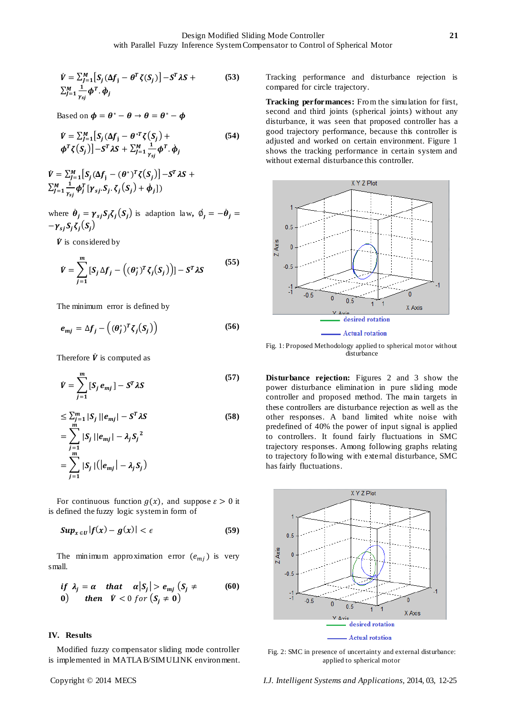$$
\dot{V} = \sum_{j=1}^{M} \left[ S_j (\Delta f_j - \theta^T \zeta(S_j)) \right] - S^T \lambda S +
$$
\n
$$
\sum_{j=1}^{M} \frac{1}{\gamma_{si}} \phi^T \cdot \phi_j
$$
\n(53)

Based on  $\boldsymbol{\phi} = \boldsymbol{\theta}^* - \boldsymbol{\theta} \rightarrow \boldsymbol{\theta} = \boldsymbol{\theta}^*$ 

$$
\dot{V} = \sum_{j=1}^{M} \left[ S_j (\Delta f_j - \theta^{*T} \zeta (S_j) + \phi^{*T} \zeta (S_j)) \right]
$$
\n
$$
\phi^{T} \zeta (S_j) \left] - S^{T} \lambda S + \sum_{j=1}^{M} \frac{1}{\gamma_{sj}} \phi^{T} \cdot \phi_j \right]
$$
\n(54)

$$
\dot{V} = \sum_{j=1}^{M} \left[ S_j (\Delta f_j - (\theta^*)^T \zeta(S_j)) \right] - S^T \lambda S + \sum_{j=1}^{M} \frac{1}{\gamma_{sj}} \phi_j^T [\gamma_{sj} . S_j . \zeta_j(S_j) + \phi_j])
$$

where  $\dot{\theta}_j = \gamma_{sj} S_j \zeta_j (S_j)$  is adaption law,  $\dot{\phi}_j = -\dot{\theta}_j$  $-\gamma_{si} S_i \zeta_i(S_i)$ 

 $\dot{V}$  is considered by

$$
\dot{V} = \sum_{j=1}^{m} [S_j \Delta f_j - ((\theta_j^*)^T \zeta_j(S_j))] - S^T \lambda S
$$
\n(55)

The minimum error is defined by

$$
e_{mj} = \Delta f_j - \left( (\theta_j^*)^T \zeta_j(S_j) \right) \tag{56}
$$

Therefore  $\dot{V}$  is computed as

$$
\dot{V} = \sum_{j=1}^{m} \left[ S_j e_{mj} \right] - S^T \lambda S \tag{57}
$$

$$
\leq \sum_{j=1}^{m} |S_j| |e_{mj}| - S^T \lambda S
$$
\n
$$
= \sum_{j=1}^{m} |S_j| |e_{mj}| - \lambda_j S_j^2
$$
\n
$$
= \sum_{j=1}^{m} |S_j| (|e_{mj}| - \lambda_j S_j)
$$
\n(58)

For continuous function  $g(x)$ , and suppose  $\varepsilon > 0$  it is defined the fuzzy logic system in form of

$$
Sup_{x \in U} |f(x) - g(x)| < \epsilon \tag{59}
$$

The minimum approximation error  $(e_{mi})$  is very small.

if 
$$
\lambda_j = \alpha
$$
 that  $\alpha |S_j| > e_{mj} (S_j \neq 0)$   
then  $V < 0$  for  $(S_j \neq 0)$  (60)

### **IV. Results**

Modified fuzzy compensator sliding mode controller is implemented in MATLAB/SIMULINK environment. Tracking performance and disturbance rejection is compared for circle trajectory.

**Tracking performances:** From the simulation for first, second and third joints (spherical joints) without any disturbance, it was seen that proposed controller has a good trajectory performance, because this controller is adjusted and worked on certain environment. Figure 1 shows the tracking performance in certain system and without external disturbance this controller.



Fig. 1: Proposed Methodology applied to spherical motor without disturbance

**Disturbance rejection:** Figures 2 and 3 show the power disturbance elimination in pure sliding mode controller and proposed method. The main targets in these controllers are disturbance rejection as well as the other responses. A band limited white noise with predefined of 40% the power of input signal is applied to controllers. It found fairly fluctuations in SMC trajectory responses. Among following graphs relating to trajectory following with external disturbance, SMC has fairly fluctuations.



Fig. 2: SMC in presence of uncertainty and external disturbance: applied to spherical motor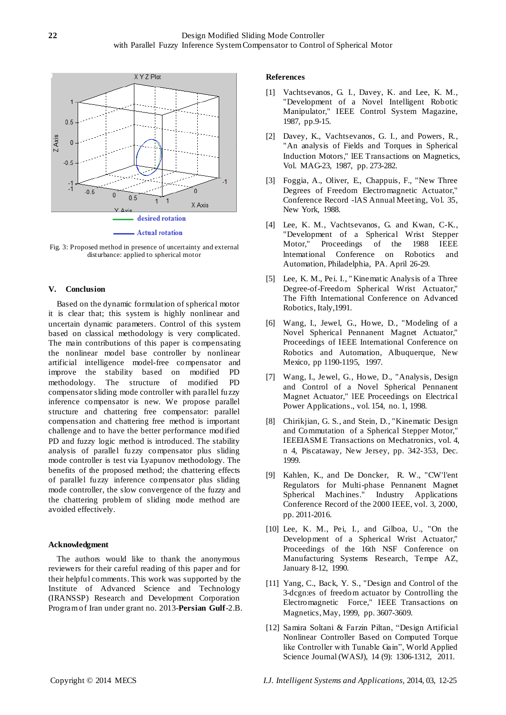

Fig. 3: Proposed method in presence of uncertainty and external disturbance: applied to spherical motor

## **V. Conclusion**

Based on the dynamic formulation of spherical motor it is clear that; this system is highly nonlinear and uncertain dynamic parameters. Control of this system based on classical methodology is very complicated. The main contributions of this paper is compensating the nonlinear model base controller by nonlinear artificial intelligence model-free compensator and improve the stability based on modified PD methodology. The structure of modified PD compensator sliding mode controller with parallel fuzzy inference compensator is new. We propose parallel structure and chattering free compensator: parallel compensation and chattering free method is important challenge and to have the better performance modified PD and fuzzy logic method is introduced. The stability analysis of parallel fuzzy compensator plus sliding mode controller is test via Lyapunov methodology. The benefits of the proposed method; the chattering effects of parallel fuzzy inference compensator plus sliding mode controller, the slow convergence of the fuzzy and the chattering problem of sliding mode method are avoided effectively.

#### **Acknowledgment**

The authors would like to thank the anonymous reviewers for their careful reading of this paper and for their helpful comments. This work was supported by the Institute of Advanced Science and Technology (IRANSSP) Research and Development Corporation Program of Iran under grant no. 2013-**Persian Gulf**-2.B.

### **References**

- [1] Vachtsevanos, G. I., Davey, K. and Lee, K. M., "Development of a Novel Intelligent Robotic Manipulator," IEEE Control System Magazine, 1987, pp.9-15.
- [2] Davey, K., Vachtsevanos, G. I., and Powers, R., "An analysis of Fields and Torques in Spherical Induction Motors," lEE Transactions on Magnetics, Vol. MAG-23, 1987, pp. 273-282.
- [3] Foggia, A., Oliver, E., Chappuis, F., "New Three Degrees of Freedom Electromagnetic Actuator," Conference Record -lAS Annual Meeting, Vol. 35, New York, 1988.
- [4] Lee, K. M., Vachtsevanos, G. and Kwan, C-K., "Development of a Spherical Wrist Stepper Motor," Proceedings of the 1988 IEEE lntemational Conference on Robotics and Automation, Philadelphia, PA. April 26-29.
- [5] Lee, K. M., Pei. I., " Kinematic Analysis of a Three Degree-of-Freedom Spherical Wrist Actuator," The Fifth International Conference on Advanced Robotics, Italy,1991.
- [6] Wang, I., Jewel, G., Howe, D., "Modeling of a Novel Spherical Pennanent Magnet Actuator," Proceedings of IEEE International Conference on Robotics and Automation, Albuquerque, New Mexico, pp 1190-1195, 1997.
- [7] Wang, I., Jewel, G., Howe, D., "Analysis, Design and Control of a Novel Spherical Pennanent Magnet Actuator," lEE Proceedings on Electrical Power Applications., vol. 154, no. 1, 1998.
- [8] Chirikjian, G. S., and Stein, D., "Kinematic Design and Commutation of a Spherical Stepper Motor," IEEEIASME Transactions on Mechatronics, vol. 4, n 4, Piscataway, New Jersey, pp. 342-353, Dec. 1999.
- [9] Kahlen, K., and De Doncker, R. W., "CW'l'ent Regulators for Multi-phase Pennanent Magnet Spherical Machines." Industry Applications Conference Record of the 2000 IEEE, vol. 3, 2000, pp. 2011-2016.
- [10] Lee, K. M., Pei, I., and Gilboa, U., "On the Development of a Spherical Wrist Actuator," Proceedings of the 16th NSF Conference on Manufacturing Systems Research, Tempe AZ, January 8-12, 1990.
- [11] Yang, C., Back, Y. S., "Design and Control of the 3-dcgn:es of freedom actuator by Controlling the Electromagnetic Force," IEEE Transactions on Magnetics, May, 1999, pp. 3607-3609.
- [12] Samira Soltani & Farzin Piltan, "Design Artificial Nonlinear Controller Based on Computed Torque like Controller with Tunable Gain", World Applied Science Journal (WASJ), 14 (9): 1306-1312, 2011.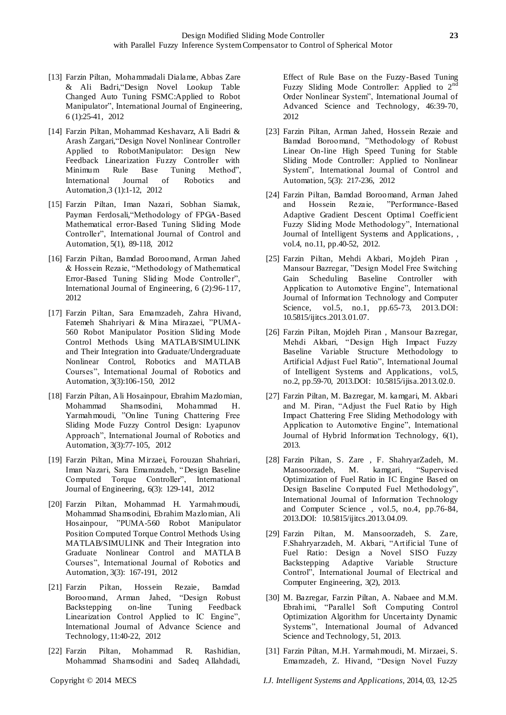- [13] Farzin Piltan, Mohammadali Dialame, Abbas Zare & Ali Badri,"Design Novel Lookup Table Changed Auto Tuning FSMC:Applied to Robot Manipulator", International Journal of Engineering, 6 (1):25-41, 2012
- [14] Farzin Piltan, Mohammad Keshavarz, Ali Badri & Arash Zargari,"Design Novel Nonlinear Controller Applied to RobotManipulator: Design New Feedback Linearization Fuzzy Controller with Minimum Rule Base Tuning Method", International Journal of Robotics and Automation,3 (1):1-12, 2012
- [15] Farzin Piltan, Iman Nazari, Sobhan Siamak, Payman Ferdosali,"Methodology of FPGA-Based Mathematical error-Based Tuning Sliding Mode Controller", International Journal of Control and Automation, 5(1), 89-118, 2012
- [16] Farzin Piltan, Bamdad Boroomand, Arman Jahed & Hossein Rezaie, "Methodology of Mathematical Error-Based Tuning Sliding Mode Controller", International Journal of Engineering, 6 (2):96-117, 2012
- [17] Farzin Piltan, Sara Emamzadeh, Zahra Hivand, Fatemeh Shahriyari & Mina Mirazaei, "PUMA-560 Robot Manipulator Position Sliding Mode Control Methods Using MATLAB/SIMULINK and Their Integration into Graduate/Undergraduate Nonlinear Control, Robotics and MATLAB Courses", International Journal of Robotics and Automation, 3(3):106-150, 2012
- [18] Farzin Piltan, Ali Hosainpour, Ebrahim Mazlomian, Mohammad Shamsodini, Mohammad H. Yarmahmoudi, "Online Tuning Chattering Free Sliding Mode Fuzzy Control Design: Lyapunov Approach", International Journal of Robotics and Automation, 3(3):77-105, 2012
- [19] Farzin Piltan, Mina Mirzaei, Forouzan Shahriari, Iman Nazari, Sara Emamzadeh, "Design Baseline Computed Torque Controller", International Journal of Engineering, 6(3): 129-141, 2012
- [20] Farzin Piltan, Mohammad H. Yarmahmoudi, Mohammad Shamsodini, Ebrahim Mazlomian, Ali Hosainpour, "PUMA-560 Robot Manipulator Position Computed Torque Control Methods Using MATLAB/SIMULINK and Their Integration into Graduate Nonlinear Control and MATLA B Courses", International Journal of Robotics and Automation, 3(3): 167-191, 2012
- [21] Farzin Piltan, Hossein Rezaie, Bamdad Boroomand, Arman Jahed, "Design Robust Backstepping on-line Tuning Feedback Linearization Control Applied to IC Engine", International Journal of Advance Science and Technology, 11:40-22, 2012
- [22] Farzin Piltan, Mohammad R. Rashidian, Mohammad Shamsodini and Sadeq Allahdadi,

Effect of Rule Base on the Fuzzy-Based Tuning Fuzzy Sliding Mode Controller: Applied to 2nd Order Nonlinear System", International Journal of Advanced Science and Technology, 46:39-70, 2012

- [23] Farzin Piltan, Arman Jahed, Hossein Rezaie and Bamdad Boroomand, "Methodology of Robust Linear On-line High Speed Tuning for Stable Sliding Mode Controller: Applied to Nonlinear System", International Journal of Control and Automation, 5(3): 217-236, 2012
- [24] Farzin Piltan, Bamdad Boroomand, Arman Jahed and Hossein Rezaie, "Performance-Based Adaptive Gradient Descent Optimal Coefficient Fuzzy Sliding Mode Methodology", International Journal of Intelligent Systems and Applications, , vol.4, no.11, pp.40-52, 2012.
- [25] Farzin Piltan, Mehdi Akbari, Mojdeh Piran , Mansour Bazregar, "Design Model Free Switching Gain Scheduling Baseline Controller with Application to Automotive Engine", International Journal of Information Technology and Computer Science, vol.5, no.1, pp.65-73, 2013.DOI: 10.5815/ijitcs.2013.01.07.
- [26] Farzin Piltan, Mojdeh Piran , Mansour Bazregar, Mehdi Akbari, "Design High Impact Fuzzy Baseline Variable Structure Methodology to Artificial Adjust Fuel Ratio", International Journal of Intelligent Systems and Applications, vol.5, no.2, pp.59-70, 2013.DOI: 10.5815/ijisa.2013.02.0.
- [27] Farzin Piltan, M. Bazregar, M. kamgari, M. Akbari and M. Piran, "Adjust the Fuel Ratio by High Impact Chattering Free Sliding Methodology with Application to Automotive Engine", International Journal of Hybrid Information Technology, 6(1), 2013.
- [28] Farzin Piltan, S. Zare , F. ShahryarZadeh, M. Mansoorzadeh, M. kamgari, "Supervised Optimization of Fuel Ratio in IC Engine Based on Design Baseline Computed Fuel Methodology", International Journal of Information Technology and Computer Science , vol.5, no.4, pp.76-84, 2013.DOI: 10.5815/ijitcs.2013.04.09.
- [29] Farzin Piltan, M. Mansoorzadeh, S. Zare, F.Shahryarzadeh, M. Akbari, "Artificial Tune of Fuel Ratio: Design a Novel SISO Fuzzy Backstepping Adaptive Variable Structure Control", International Journal of Electrical and Computer Engineering, 3(2), 2013.
- [30] M. Bazregar, Farzin Piltan, A. Nabaee and M.M. Ebrahimi, "Parallel Soft Computing Control Optimization Algorithm for Uncertainty Dynamic Systems", International Journal of Advanced Science and Technology, 51, 2013.
- [31] Farzin Piltan, M.H. Yarmahmoudi, M. Mirzaei, S. Emamzadeh, Z. Hivand, "Design Novel Fuzzy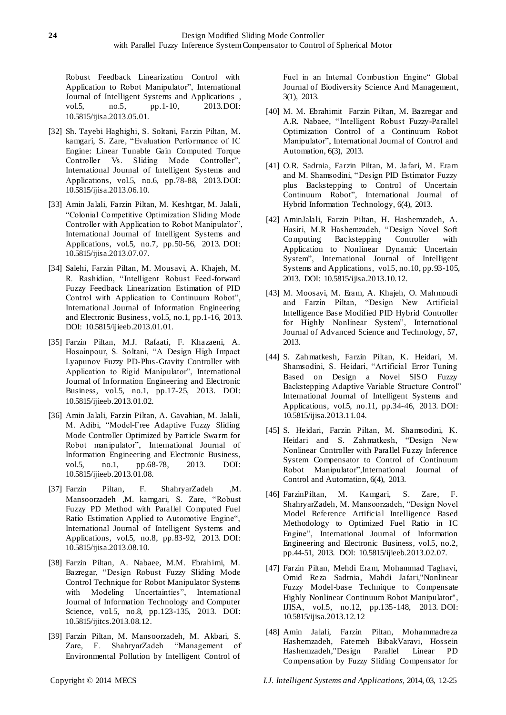Robust Feedback Linearization Control with Application to Robot Manipulator", International Journal of Intelligent Systems and Applications , vol.5, no.5, pp.1-10, 2013.DOI: 10.5815/ijisa.2013.05.01.

- [32] Sh. Tayebi Haghighi, S. Soltani, Farzin Piltan, M. kamgari, S. Zare, "Evaluation Performance of IC Engine: Linear Tunable Gain Computed Torque Controller Vs. Sliding Mode Controller", International Journal of Intelligent Systems and Applications, vol.5, no.6, pp.78-88, 2013.DOI: 10.5815/ijisa.2013.06.10.
- [33] Amin Jalali, Farzin Piltan, M. Keshtgar, M. Jalali, "Colonial Competitive Optimization Sliding Mode Controller with Application to Robot Manipulator", International Journal of Intelligent Systems and Applications, vol.5, no.7, pp.50-56, 2013. DOI: 10.5815/ijisa.2013.07.07.
- [34] Salehi, Farzin Piltan, M. Mousavi, A. Khajeh, M. R. Rashidian, "Intelligent Robust Feed-forward Fuzzy Feedback Linearization Estimation of PID Control with Application to Continuum Robot", International Journal of Information Engineering and Electronic Business, vol.5, no.1, pp.1-16, 2013. DOI: 10.5815/ijieeb.2013.01.01.
- [35] Farzin Piltan, M.J. Rafaati, F. Khazaeni, A. Hosainpour, S. Soltani, "A Design High Impact Lyapunov Fuzzy PD-Plus-Gravity Controller with Application to Rigid Manipulator", International Journal of Information Engineering and Electronic Business, vol.5, no.1, pp.17-25, 2013. DOI: 10.5815/ijieeb.2013.01.02.
- [36] Amin Jalali, Farzin Piltan, A. Gavahian, M. Jalali, M. Adibi, "Model-Free Adaptive Fuzzy Sliding Mode Controller Optimized by Particle Swarm for Robot manipulator", International Journal of Information Engineering and Electronic Business, vol.5, no.1, pp.68-78, 2013. DOI: 10.5815/ijieeb.2013.01.08.
- [37] Farzin Piltan, F. ShahryarZadeh ,M. Mansoorzadeh ,M. kamgari, S. Zare, "Robust Fuzzy PD Method with Parallel Computed Fuel Ratio Estimation Applied to Automotive Engine", International Journal of Intelligent Systems and Applications, vol.5, no.8, pp.83-92, 2013. DOI: 10.5815/ijisa.2013.08.10.
- [38] Farzin Piltan, A. Nabaee, M.M. Ebrahimi, M. Bazregar, "Design Robust Fuzzy Sliding Mode Control Technique for Robot Manipulator Systems with Modeling Uncertainties", International Journal of Information Technology and Computer Science, vol.5, no.8, pp.123-135, 2013. DOI: 10.5815/ijitcs.2013.08.12.
- [39] Farzin Piltan, M. Mansoorzadeh, M. Akbari, S. Zare, F. ShahryarZadeh "Management of Environmental Pollution by Intelligent Control of

Fuel in an Internal Combustion Engine" Global Journal of Biodiversity Science And Management, 3(1), 2013.

- [40] M. M. Ebrahimit Farzin Piltan, M. Bazregar and A.R. Nabaee, "Intelligent Robust Fuzzy-Parallel Optimization Control of a Continuum Robot Manipulator", International Journal of Control and Automation, 6(3), 2013.
- [41] O.R. Sadrnia, Farzin Piltan, M. Jafari, M. Eram and M. Shamsodini, "Design PID Estimator Fuzzy plus Backstepping to Control of Uncertain Continuum Robot", International Journal of Hybrid Information Technology, 6(4), 2013.
- [42] AminJalali, Farzin Piltan, H. Hashemzadeh, A. Hasiri, M.R Hashemzadeh, "Design Novel Soft Computing Backstepping Controller with Application to Nonlinear Dynamic Uncertain System", International Journal of Intelligent Systems and Applications, vol.5, no.10, pp.93-105, 2013. DOI: 10.5815/ijisa.2013.10.12.
- [43] M. Moosavi, M. Eram, A. Khajeh, O. Mahmoudi and Farzin Piltan, "Design New Artificial Intelligence Base Modified PID Hybrid Controller for Highly Nonlinear System", International Journal of Advanced Science and Technology, 57, 2013.
- [44] S. Zahmatkesh, Farzin Piltan, K. Heidari, M. Shamsodini, S. Heidari, "Artificial Error Tuning Based on Design a Novel SISO Fuzzy Backstepping Adaptive Variable Structure Control" International Journal of Intelligent Systems and Applications, vol.5, no.11, pp.34-46, 2013. DOI: 10.5815/ijisa.2013.11.04.
- [45] S. Heidari, Farzin Piltan, M. Shamsodini, K. Heidari and S. Zahmatkesh, "Design New Nonlinear Controller with Parallel Fuzzy Inference System Compensator to Control of Continuum Robot Manipulator",International Journal of Control and Automation, 6(4), 2013.
- [46] FarzinPiltan, M. Kamgari, S. Zare, F. ShahryarZadeh, M. Mansoorzadeh, "Design Novel Model Reference Artificial Intelligence Based Methodology to Optimized Fuel Ratio in IC Engine", International Journal of Information Engineering and Electronic Business, vol.5, no.2, pp.44-51, 2013. DOI: 10.5815/ijieeb.2013.02.07.
- [47] Farzin Piltan, Mehdi Eram, Mohammad Taghavi, Omid Reza Sadrnia, Mahdi Jafari,"Nonlinear Fuzzy Model-base Technique to Compensate Highly Nonlinear Continuum Robot Manipulator", IJISA, vol.5, no.12, pp.135-148, 2013. DOI: 10.5815/ijisa.2013.12.12
- [48] Amin Jalali, Farzin Piltan, Mohammadreza Hashemzadeh, Fatemeh BibakVaravi, Hossein Hashemzadeh,"Design Parallel Linear PD Compensation by Fuzzy Sliding Compensator for